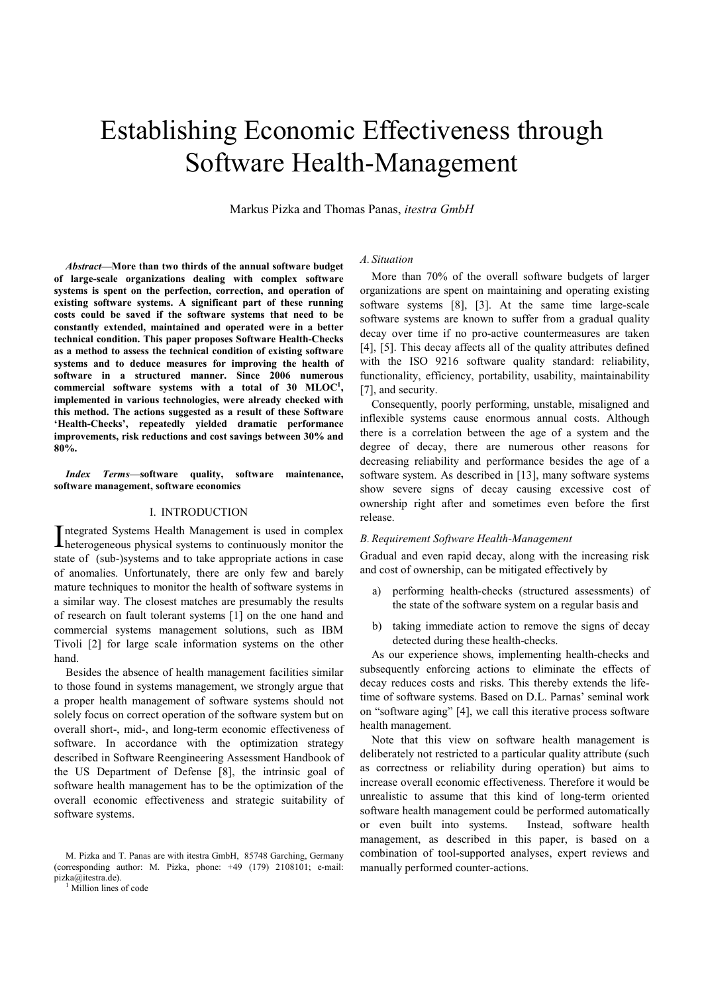# Establishing Economic Effectiveness through Software Health-Management

Markus Pizka and Thomas Panas, itestra GmbH

Abstract—More than two thirds of the annual software budget of large-scale organizations dealing with complex software systems is spent on the perfection, correction, and operation of existing software systems. A significant part of these running costs could be saved if the software systems that need to be constantly extended, maintained and operated were in a better technical condition. This paper proposes Software Health-Checks as a method to assess the technical condition of existing software systems and to deduce measures for improving the health of software in a structured manner. Since 2006 numerous commercial software systems with a total of 30  $\text{MLOC}^1$ , implemented in various technologies, were already checked with this method. The actions suggested as a result of these Software 'Health-Checks', repeatedly yielded dramatic performance improvements, risk reductions and cost savings between 30% and 80%.

Index Terms—software quality, software maintenance, software management, software economics

#### I. INTRODUCTION

ntegrated Systems Health Management is used in complex Integrated Systems Health Management is used in complex<br>
heterogeneous physical systems to continuously monitor the state of (sub-)systems and to take appropriate actions in case of anomalies. Unfortunately, there are only few and barely mature techniques to monitor the health of software systems in a similar way. The closest matches are presumably the results of research on fault tolerant systems [1] on the one hand and commercial systems management solutions, such as IBM Tivoli [2] for large scale information systems on the other hand.

Besides the absence of health management facilities similar to those found in systems management, we strongly argue that a proper health management of software systems should not solely focus on correct operation of the software system but on overall short-, mid-, and long-term economic effectiveness of software. In accordance with the optimization strategy described in Software Reengineering Assessment Handbook of the US Department of Defense [8], the intrinsic goal of software health management has to be the optimization of the overall economic effectiveness and strategic suitability of software systems.

#### A. Situation

More than 70% of the overall software budgets of larger organizations are spent on maintaining and operating existing software systems [8], [3]. At the same time large-scale software systems are known to suffer from a gradual quality decay over time if no pro-active countermeasures are taken [4], [5]. This decay affects all of the quality attributes defined with the ISO 9216 software quality standard: reliability, functionality, efficiency, portability, usability, maintainability [7], and security.

Consequently, poorly performing, unstable, misaligned and inflexible systems cause enormous annual costs. Although there is a correlation between the age of a system and the degree of decay, there are numerous other reasons for decreasing reliability and performance besides the age of a software system. As described in [13], many software systems show severe signs of decay causing excessive cost of ownership right after and sometimes even before the first release.

## B.Requirement Software Health-Management

Gradual and even rapid decay, along with the increasing risk and cost of ownership, can be mitigated effectively by

- a) performing health-checks (structured assessments) of the state of the software system on a regular basis and
- b) taking immediate action to remove the signs of decay detected during these health-checks.

As our experience shows, implementing health-checks and subsequently enforcing actions to eliminate the effects of decay reduces costs and risks. This thereby extends the lifetime of software systems. Based on D.L. Parnas' seminal work on "software aging" [4], we call this iterative process software health management.

Note that this view on software health management is deliberately not restricted to a particular quality attribute (such as correctness or reliability during operation) but aims to increase overall economic effectiveness. Therefore it would be unrealistic to assume that this kind of long-term oriented software health management could be performed automatically or even built into systems. Instead, software health management, as described in this paper, is based on a combination of tool-supported analyses, expert reviews and manually performed counter-actions.

M. Pizka and T. Panas are with itestra GmbH, 85748 Garching, Germany (corresponding author: M. Pizka, phone: +49 (179) 2108101; e-mail: pizka@itestra.de).

<sup>&</sup>lt;sup>1</sup> Million lines of code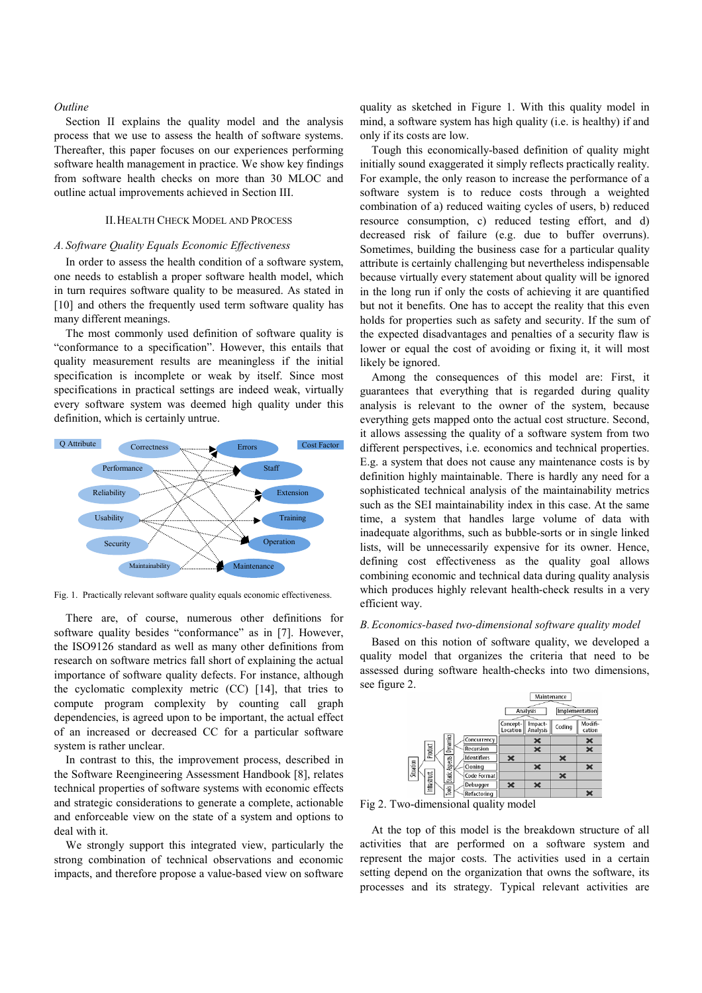#### **Outline**

Section II explains the quality model and the analysis process that we use to assess the health of software systems. Thereafter, this paper focuses on our experiences performing software health management in practice. We show key findings from software health checks on more than 30 MLOC and outline actual improvements achieved in Section III.

# II.HEALTH CHECK MODEL AND PROCESS

### A. Software Quality Equals Economic Effectiveness

In order to assess the health condition of a software system, one needs to establish a proper software health model, which in turn requires software quality to be measured. As stated in [10] and others the frequently used term software quality has many different meanings.

The most commonly used definition of software quality is "conformance to a specification". However, this entails that quality measurement results are meaningless if the initial specification is incomplete or weak by itself. Since most specifications in practical settings are indeed weak, virtually every software system was deemed high quality under this definition, which is certainly untrue.



Fig. 1. Practically relevant software quality equals economic effectiveness.

There are, of course, numerous other definitions for software quality besides "conformance" as in [7]. However, the ISO9126 standard as well as many other definitions from research on software metrics fall short of explaining the actual importance of software quality defects. For instance, although the cyclomatic complexity metric (CC) [14], that tries to compute program complexity by counting call graph dependencies, is agreed upon to be important, the actual effect of an increased or decreased CC for a particular software system is rather unclear.

In contrast to this, the improvement process, described in the Software Reengineering Assessment Handbook [8], relates technical properties of software systems with economic effects and strategic considerations to generate a complete, actionable and enforceable view on the state of a system and options to deal with it.

We strongly support this integrated view, particularly the strong combination of technical observations and economic impacts, and therefore propose a value-based view on software quality as sketched in Figure 1. With this quality model in mind, a software system has high quality (i.e. is healthy) if and only if its costs are low.

Tough this economically-based definition of quality might initially sound exaggerated it simply reflects practically reality. For example, the only reason to increase the performance of a software system is to reduce costs through a weighted combination of a) reduced waiting cycles of users, b) reduced resource consumption, c) reduced testing effort, and d) decreased risk of failure (e.g. due to buffer overruns). Sometimes, building the business case for a particular quality attribute is certainly challenging but nevertheless indispensable because virtually every statement about quality will be ignored in the long run if only the costs of achieving it are quantified but not it benefits. One has to accept the reality that this even holds for properties such as safety and security. If the sum of the expected disadvantages and penalties of a security flaw is lower or equal the cost of avoiding or fixing it, it will most likely be ignored.

Among the consequences of this model are: First, it guarantees that everything that is regarded during quality analysis is relevant to the owner of the system, because everything gets mapped onto the actual cost structure. Second, it allows assessing the quality of a software system from two different perspectives, i.e. economics and technical properties. E.g. a system that does not cause any maintenance costs is by definition highly maintainable. There is hardly any need for a sophisticated technical analysis of the maintainability metrics such as the SEI maintainability index in this case. At the same time, a system that handles large volume of data with inadequate algorithms, such as bubble-sorts or in single linked lists, will be unnecessarily expensive for its owner. Hence, defining cost effectiveness as the quality goal allows combining economic and technical data during quality analysis which produces highly relevant health-check results in a very efficient way.

#### B.Economics-based two-dimensional software quality model

Based on this notion of software quality, we developed a quality model that organizes the criteria that need to be assessed during software health-checks into two dimensions, see figure 2.



Fig 2. Two-dimensional quality model

At the top of this model is the breakdown structure of all activities that are performed on a software system and represent the major costs. The activities used in a certain setting depend on the organization that owns the software, its processes and its strategy. Typical relevant activities are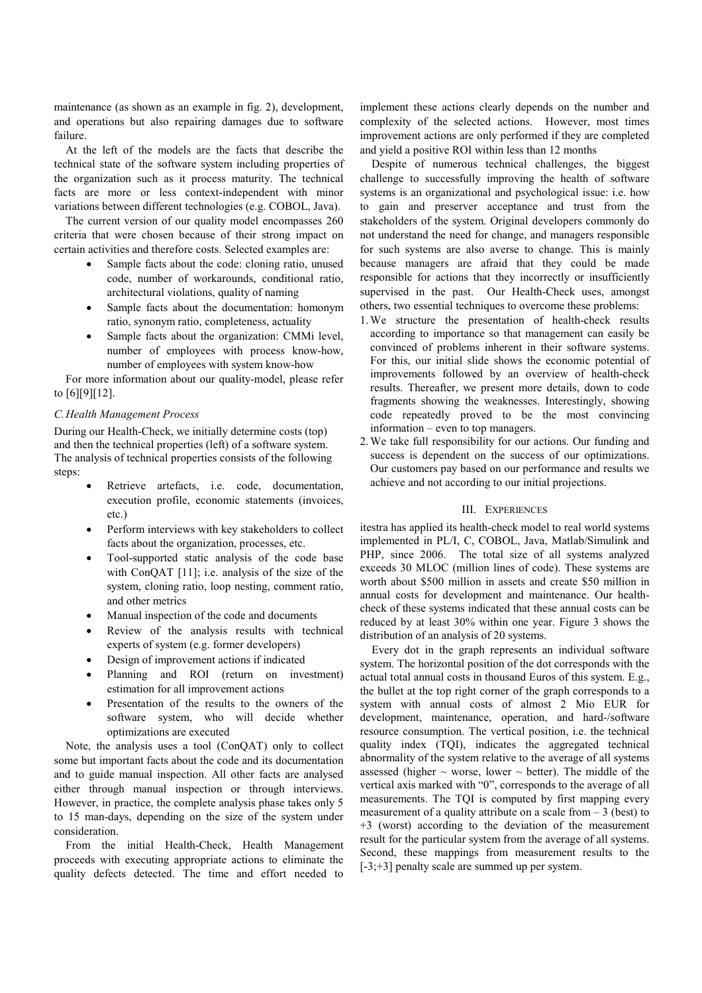maintenance (as shown as an example in fig. 2), development, and operations but also repairing damages due to software failure.

At the left of the models are the facts that describe the technical state of the software system including properties of the organization such as it process maturity. The technical facts are more or less context-independent with minor variations between different technologies (e.g. COBOL, Java).

The current version of our quality model encompasses 260 criteria that were chosen because of their strong impact on certain activities and therefore costs. Selected examples are:

- Sample facts about the code: cloning ratio, unused code, number of workarounds, conditional ratio, architectural violations, quality of naming
- Sample facts about the documentation: homonym ratio, synonym ratio, completeness, actuality
- Sample facts about the organization: CMMi level, number of employees with process know-how, number of employees with system know-how

For more information about our quality-model, please refer to [6][9][12].

### C.Health Management Process

During our Health-Check, we initially determine costs (top) and then the technical properties (left) of a software system. The analysis of technical properties consists of the following steps:

- Retrieve artefacts, i.e. code, documentation, execution profile, economic statements (invoices, etc.)
- Perform interviews with key stakeholders to collect facts about the organization, processes, etc.
- Tool-supported static analysis of the code base with ConQAT [11]; i.e. analysis of the size of the system, cloning ratio, loop nesting, comment ratio, and other metrics
- Manual inspection of the code and documents
- Review of the analysis results with technical experts of system (e.g. former developers)
- Design of improvement actions if indicated
- Planning and ROI (return on investment) estimation for all improvement actions
- Presentation of the results to the owners of the software system, who will decide whether optimizations are executed

Note, the analysis uses a tool (ConQAT) only to collect some but important facts about the code and its documentation and to guide manual inspection. All other facts are analysed either through manual inspection or through interviews. However, in practice, the complete analysis phase takes only 5 to 15 man-days, depending on the size of the system under consideration.

From the initial Health-Check, Health Management proceeds with executing appropriate actions to eliminate the quality defects detected. The time and effort needed to

implement these actions clearly depends on the number and complexity of the selected actions. However, most times improvement actions are only performed if they are completed and yield a positive ROI within less than 12 months

Despite of numerous technical challenges, the biggest challenge to successfully improving the health of software systems is an organizational and psychological issue: i.e. how to gain and preserver acceptance and trust from the stakeholders of the system. Original developers commonly do not understand the need for change, and managers responsible for such systems are also averse to change. This is mainly because managers are afraid that they could be made responsible for actions that they incorrectly or insufficiently supervised in the past. Our Health-Check uses, amongst others, two essential techniques to overcome these problems:

- 1.We structure the presentation of health-check results according to importance so that management can easily be convinced of problems inherent in their software systems. For this, our initial slide shows the economic potential of improvements followed by an overview of health-check results. Thereafter, we present more details, down to code fragments showing the weaknesses. Interestingly, showing code repeatedly proved to be the most convincing information – even to top managers.
- 2.We take full responsibility for our actions. Our funding and success is dependent on the success of our optimizations. Our customers pay based on our performance and results we achieve and not according to our initial projections.

### III. EXPERIENCES

itestra has applied its health-check model to real world systems implemented in PL/I, C, COBOL, Java, Matlab/Simulink and PHP, since 2006. The total size of all systems analyzed exceeds 30 MLOC (million lines of code). These systems are worth about \$500 million in assets and create \$50 million in annual costs for development and maintenance. Our healthcheck of these systems indicated that these annual costs can be reduced by at least 30% within one year. Figure 3 shows the distribution of an analysis of 20 systems.

Every dot in the graph represents an individual software system. The horizontal position of the dot corresponds with the actual total annual costs in thousand Euros of this system. E.g., the bullet at the top right corner of the graph corresponds to a system with annual costs of almost 2 Mio EUR for development, maintenance, operation, and hard-/software resource consumption. The vertical position, i.e. the technical quality index (TQI), indicates the aggregated technical abnormality of the system relative to the average of all systems assessed (higher  $\sim$  worse, lower  $\sim$  better). The middle of the vertical axis marked with "0", corresponds to the average of all measurements. The TQI is computed by first mapping every measurement of a quality attribute on a scale from  $-3$  (best) to +3 (worst) according to the deviation of the measurement result for the particular system from the average of all systems. Second, these mappings from measurement results to the  $[-3; +3]$  penalty scale are summed up per system.